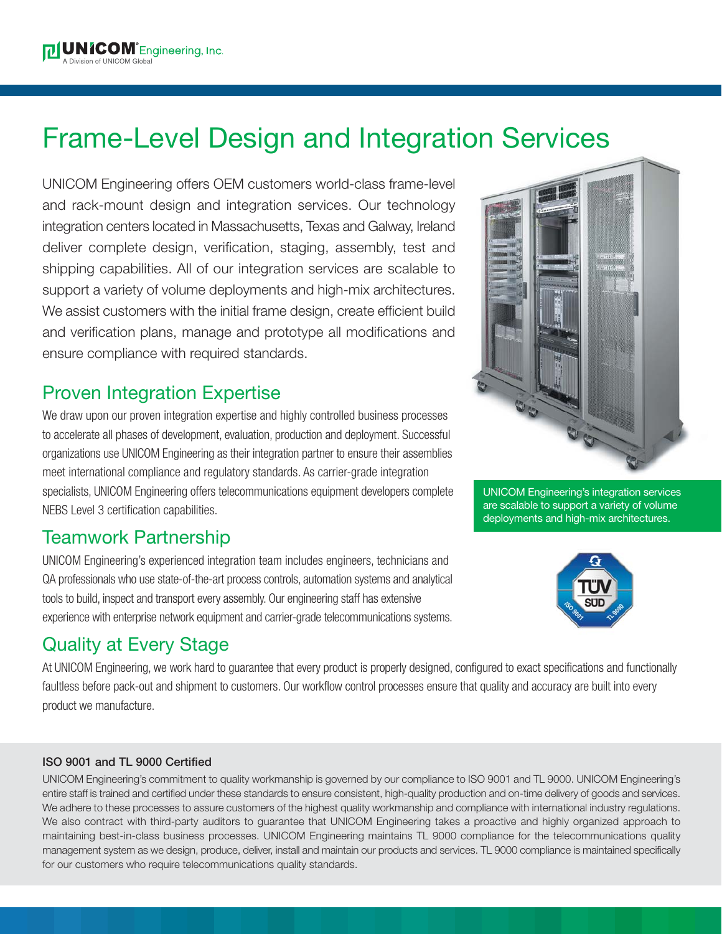# Frame-Level Design and Integration Services

UNICOM Engineering offers OEM customers world-class frame-level and rack-mount design and integration services. Our technology integration centers located in Massachusetts, Texas and Galway, Ireland deliver complete design, verification, staging, assembly, test and shipping capabilities. All of our integration services are scalable to support a variety of volume deployments and high-mix architectures. We assist customers with the initial frame design, create efficient build and verification plans, manage and prototype all modifications and ensure compliance with required standards.

# Proven Integration Expertise

We draw upon our proven integration expertise and highly controlled business processes to accelerate all phases of development, evaluation, production and deployment. Successful organizations use UNICOM Engineering as their integration partner to ensure their assemblies meet international compliance and regulatory standards. As carrier-grade integration specialists, UNICOM Engineering offers telecommunications equipment developers complete NEBS Level 3 certification capabilities.

# Teamwork Partnership

UNICOM Engineering's experienced integration team includes engineers, technicians and QA professionals who use state-of-the-art process controls, automation systems and analytical tools to build, inspect and transport every assembly. Our engineering staff has extensive experience with enterprise network equipment and carrier-grade telecommunications systems.

# Quality at Every Stage

At UNICOM Engineering, we work hard to guarantee that every product is properly designed, configured to exact specifications and functionally faultless before pack-out and shipment to customers. Our workflow control processes ensure that quality and accuracy are built into every product we manufacture.

#### **ISO 9001 and TL 9000 Certified**

UNICOM Engineering's commitment to quality workmanship is governed by our compliance to ISO 9001 and TL 9000. UNICOM Engineering's entire staff is trained and certified under these standards to ensure consistent, high-quality production and on-time delivery of goods and services. We adhere to these processes to assure customers of the highest quality workmanship and compliance with international industry regulations. We also contract with third-party auditors to guarantee that UNICOM Engineering takes a proactive and highly organized approach to maintaining best-in-class business processes. UNICOM Engineering maintains TL 9000 compliance for the telecommunications quality management system as we design, produce, deliver, install and maintain our products and services. TL 9000 compliance is maintained specifically for our customers who require telecommunications quality standards.



UNICOM Engineering's integration services are scalable to support a variety of volume deployments and high-mix architectures.